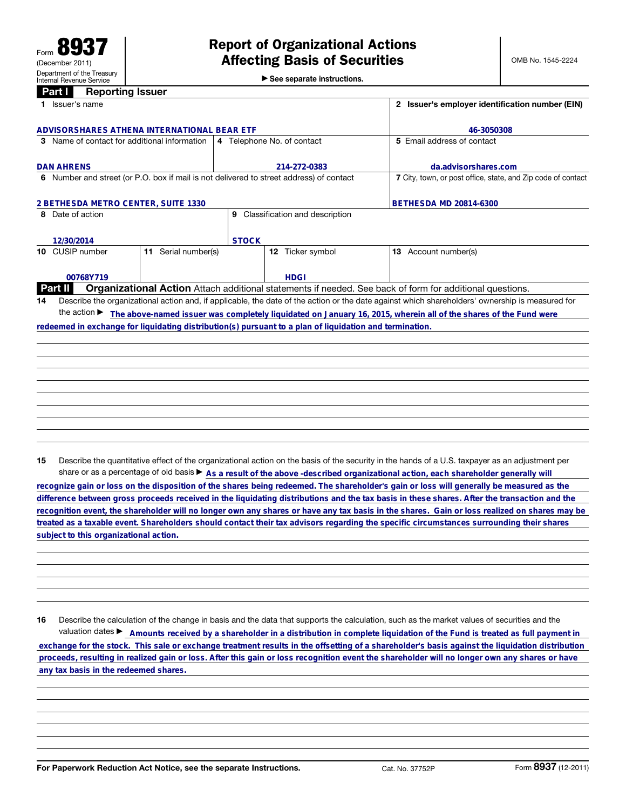▶ See separate instructions.

|                                                                                                                             | Part I<br><b>Reporting Issuer</b>                                                                                                               |                            |                                     |                                                                                         |                                                 |                                                                                                          |
|-----------------------------------------------------------------------------------------------------------------------------|-------------------------------------------------------------------------------------------------------------------------------------------------|----------------------------|-------------------------------------|-----------------------------------------------------------------------------------------|-------------------------------------------------|----------------------------------------------------------------------------------------------------------|
|                                                                                                                             | 1 Issuer's name                                                                                                                                 |                            |                                     |                                                                                         | 2 Issuer's employer identification number (EIN) |                                                                                                          |
|                                                                                                                             |                                                                                                                                                 |                            |                                     |                                                                                         |                                                 |                                                                                                          |
| ADVISORSHARES ATHENA INTERNATIONAL BEAR ETF                                                                                 |                                                                                                                                                 |                            |                                     |                                                                                         |                                                 | 46-3050308                                                                                               |
|                                                                                                                             | 3 Name of contact for additional information                                                                                                    | 4 Telephone No. of contact |                                     |                                                                                         | 5 Email address of contact                      |                                                                                                          |
|                                                                                                                             | <b>DAN AHRENS</b>                                                                                                                               |                            | 214-272-0383                        |                                                                                         |                                                 | da.advisorshares.com                                                                                     |
|                                                                                                                             |                                                                                                                                                 |                            |                                     | 6 Number and street (or P.O. box if mail is not delivered to street address) of contact |                                                 | 7 City, town, or post office, state, and Zip code of contact                                             |
| 2 BETHESDA METRO CENTER, SUITE 1330                                                                                         |                                                                                                                                                 |                            |                                     |                                                                                         |                                                 | <b>BETHESDA MD 20814-6300</b>                                                                            |
| 8 Date of action                                                                                                            |                                                                                                                                                 |                            | Classification and description<br>9 |                                                                                         |                                                 |                                                                                                          |
|                                                                                                                             | 12/30/2014                                                                                                                                      |                            | <b>STOCK</b>                        |                                                                                         |                                                 |                                                                                                          |
|                                                                                                                             |                                                                                                                                                 |                            |                                     |                                                                                         |                                                 |                                                                                                          |
|                                                                                                                             | 10 CUSIP number                                                                                                                                 | 11 Serial number(s)        |                                     | 12 Ticker symbol                                                                        |                                                 | 13 Account number(s)                                                                                     |
|                                                                                                                             |                                                                                                                                                 |                            |                                     |                                                                                         |                                                 |                                                                                                          |
|                                                                                                                             | 00768Y719                                                                                                                                       |                            |                                     | <b>HDGI</b>                                                                             |                                                 |                                                                                                          |
|                                                                                                                             | Part II                                                                                                                                         |                            |                                     |                                                                                         |                                                 | Organizational Action Attach additional statements if needed. See back of form for additional questions. |
| 14                                                                                                                          | Describe the organizational action and, if applicable, the date of the action or the date against which shareholders' ownership is measured for |                            |                                     |                                                                                         |                                                 |                                                                                                          |
| the action The above-named issuer was completely liquidated on January 16, 2015, wherein all of the shares of the Fund were |                                                                                                                                                 |                            |                                     |                                                                                         |                                                 |                                                                                                          |
|                                                                                                                             | redeemed in exchange for liquidating distribution(s) pursuant to a plan of liquidation and termination.                                         |                            |                                     |                                                                                         |                                                 |                                                                                                          |
|                                                                                                                             |                                                                                                                                                 |                            |                                     |                                                                                         |                                                 |                                                                                                          |
|                                                                                                                             |                                                                                                                                                 |                            |                                     |                                                                                         |                                                 |                                                                                                          |
|                                                                                                                             |                                                                                                                                                 |                            |                                     |                                                                                         |                                                 |                                                                                                          |
|                                                                                                                             |                                                                                                                                                 |                            |                                     |                                                                                         |                                                 |                                                                                                          |
|                                                                                                                             |                                                                                                                                                 |                            |                                     |                                                                                         |                                                 |                                                                                                          |
|                                                                                                                             |                                                                                                                                                 |                            |                                     |                                                                                         |                                                 |                                                                                                          |
|                                                                                                                             |                                                                                                                                                 |                            |                                     |                                                                                         |                                                 |                                                                                                          |

15 Describe the quantitative effect of the organizational action on the basis of the security in the hands of a U.S. taxpayer as an adjustment per share or as a percentage of old basis  $\triangleright$  As a result of the above -described organizational action, each shareholder generally will

recognize gain or loss on the disposition of the shares being redeemed. The shareholder's gain or loss will generally be measured as the<br>difference between gross proceeds received in the liquidating distributions and the t **recognition event, the shareholder will no longer own any shares or have any tax basis in the shares. Gain or loss realized on shares may be treated as a taxable event. Shareholders should contact their tax advisors regarding the specific circumstances surrounding their shares**

16 Describe the calculation of the change in basis and the data that supports the calculation, such as the market values of securities and the valuation dates ► Amounts received by a shareholder in a distribution in complete liquidation of the Fund is treated as full payment in subject to this organizational action.<br>
16 Describe the calculation of the change in basis and the data that supports the calculation, such as the market values of securities and the<br>
valuation dates ▶ \_\_\_\_\_\_\_\_\_\_\_\_\_\_\_\_\_\_\_